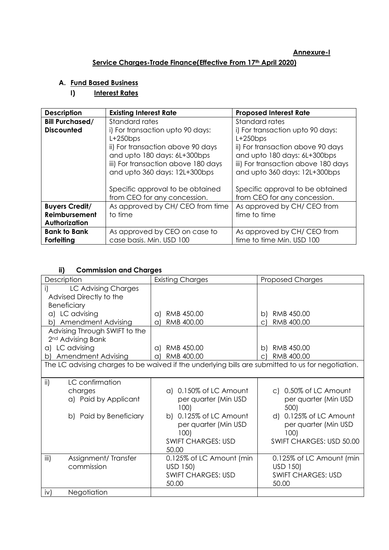#### **Annexure-I**

## **Service Charges-Trade Finance(Effective From 17th April 2020)**

# **A. Fund Based Business**

### **I) Interest Rates**

| <b>Description</b>                                             | <b>Existing Interest Rate</b>                                                                                                                                                                | <b>Proposed Interest Rate</b>                                                                                                                                                               |
|----------------------------------------------------------------|----------------------------------------------------------------------------------------------------------------------------------------------------------------------------------------------|---------------------------------------------------------------------------------------------------------------------------------------------------------------------------------------------|
| <b>Bill Purchased/</b>                                         | Standard rates                                                                                                                                                                               | Standard rates                                                                                                                                                                              |
| <b>Discounted</b>                                              | i) For transaction upto 90 days:<br>$L+250$ bps<br>ii) For transaction above 90 days<br>and upto 180 days: 6L+300bps<br>iii) For transaction above 180 days<br>and upto 360 days: 12L+300bps | i) For transaction upto 90 days:<br>$L+250bps$<br>ii) For transaction above 90 days<br>and upto 180 days: 6L+300bps<br>iii) For transaction above 180 days<br>and upto 360 days: 12L+300bps |
|                                                                | Specific approval to be obtained<br>from CEO for any concession.                                                                                                                             | Specific approval to be obtained<br>from CEO for any concession.                                                                                                                            |
| <b>Buyers Credit/</b><br><b>Reimbursement</b><br>Authorization | As approved by CH/CEO from time<br>to time                                                                                                                                                   | As approved by CH/CEO from<br>time to time                                                                                                                                                  |
| <b>Bank to Bank</b><br>Forfeiting                              | As approved by CEO on case to<br>case basis. Min. USD 100                                                                                                                                    | As approved by CH/CEO from<br>time to time Min. USD 100                                                                                                                                     |

### **ii) Commission and Charges**

| Description                      | <b>Existing Charges</b>                                                                           | <b>Proposed Charges</b>   |
|----------------------------------|---------------------------------------------------------------------------------------------------|---------------------------|
| i)<br>LC Advising Charges        |                                                                                                   |                           |
| Advised Directly to the          |                                                                                                   |                           |
| <b>Beneficiary</b>               |                                                                                                   |                           |
| a) LC advising                   | RMB 450.00<br>a)                                                                                  | RMB 450.00<br>b)          |
| <b>Amendment Advising</b><br>b)  | RMB 400.00<br>a)                                                                                  | RMB 400.00<br>C)          |
| Advising Through SWIFT to the    |                                                                                                   |                           |
| 2 <sup>nd</sup> Advising Bank    |                                                                                                   |                           |
| a) LC advising                   | RMB 450.00<br>a)                                                                                  | RMB 450.00<br>b)          |
| <b>Amendment Advising</b><br>b)  | RMB 400.00<br>a)                                                                                  | RMB 400.00<br>$\Omega$    |
|                                  | The LC advising charges to be waived if the underlying bills are submitted to us for negotiation. |                           |
|                                  |                                                                                                   |                           |
| $\mathsf{ii}$<br>LC confirmation |                                                                                                   |                           |
| charges                          | a) 0.150% of LC Amount                                                                            | c) 0.50% of LC Amount     |
| a) Paid by Applicant             | per quarter (Min USD                                                                              | per quarter (Min USD      |
|                                  | 100                                                                                               | 500)                      |
| b) Paid by Beneficiary           | b) 0.125% of LC Amount                                                                            | d) 0.125% of LC Amount    |
|                                  | per quarter (Min USD                                                                              | per quarter (Min USD      |
|                                  | 100)                                                                                              | 100)                      |
|                                  | <b>SWIFT CHARGES: USD</b>                                                                         | SWIFT CHARGES: USD 50.00  |
|                                  | 50.00                                                                                             |                           |
| iii)<br>Assignment/Transfer      | 0.125% of LC Amount (min                                                                          | 0.125% of LC Amount (min  |
| commission                       | USD 150)                                                                                          | USD 150)                  |
|                                  | <b>SWIFT CHARGES: USD</b>                                                                         | <b>SWIFT CHARGES: USD</b> |
|                                  | 50.00                                                                                             | 50.00                     |
| Negotiation<br>iv)               |                                                                                                   |                           |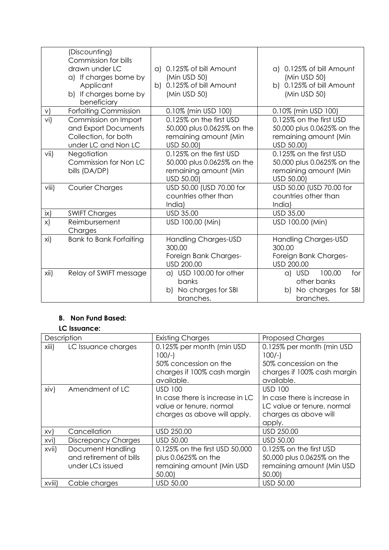|        | (Discounting)<br>Commission for bills<br>drawn under LC<br>a) If charges borne by<br>Applicant<br>b) If charges borne by<br>beneficiary | 0.125% of bill Amount<br>a)<br>(Min USD 50)<br>b) 0.125% of bill Amount<br>(Min USD 50)      | a) 0.125% of bill Amount<br>(Min USD 50)<br>b) 0.125% of bill Amount<br>(Min USD 50)         |
|--------|-----------------------------------------------------------------------------------------------------------------------------------------|----------------------------------------------------------------------------------------------|----------------------------------------------------------------------------------------------|
| $\vee$ | Forfaiting Commission                                                                                                                   | 0.10% (min USD 100)                                                                          | 0.10% (min USD 100)                                                                          |
| vi)    | Commission on Import<br>and Export Documents<br>Collection, for both<br>under LC and Non LC                                             | 0.125% on the first USD<br>50,000 plus 0.0625% on the<br>remaining amount (Min<br>USD 50.00) | 0.125% on the first USD<br>50,000 plus 0.0625% on the<br>remaining amount (Min<br>USD 50.00) |
| vii)   | Negotiation<br>Commission for Non LC<br>bills (DA/DP)                                                                                   | 0.125% on the first USD<br>50,000 plus 0.0625% on the<br>remaining amount (Min<br>USD 50.00) | 0.125% on the first USD<br>50,000 plus 0.0625% on the<br>remaining amount (Min<br>USD 50.00) |
| viii)  | Courier Charges                                                                                                                         | USD 50.00 (USD 70.00 for<br>countries other than<br>India)                                   | USD 50.00 (USD 70.00 for<br>countries other than<br>India)                                   |
| ix)    | <b>SWIFT Charges</b>                                                                                                                    | <b>USD 35.00</b>                                                                             | <b>USD 35.00</b>                                                                             |
| x)     | Reimbursement<br>Charges                                                                                                                | USD 100.00 (Min)                                                                             | USD 100.00 (Min)                                                                             |
| xi)    | <b>Bank to Bank Forfaiting</b>                                                                                                          | Handling Charges-USD<br>300.00<br>Foreign Bank Charges-<br>USD 200.00                        | Handling Charges-USD<br>300.00<br>Foreign Bank Charges-<br>USD 200.00                        |
| xii)   | Relay of SWIFT message                                                                                                                  | a) USD 100.00 for other<br>banks<br>b) No charges for SBI<br>branches.                       | 100.00<br>for<br>a) USD<br>other banks<br>b) No charges for SBI<br>branches.                 |

#### **B. Non Fund Based:**

## **LC Issuance:**

| Description |                            | <b>Existing Charges</b>         | <b>Proposed Charges</b>      |
|-------------|----------------------------|---------------------------------|------------------------------|
| xiii)       | LC Issuance charges        | 0.125% per month (min USD       | 0.125% per month (min USD    |
|             |                            | $100/-$                         | $100/-$                      |
|             |                            | 50% concession on the           | 50% concession on the        |
|             |                            | charges if 100% cash margin     | charges if 100% cash margin  |
|             |                            | available.                      | available.                   |
| xiiv)       | Amendment of LC            | <b>USD 100</b>                  | <b>USD 100</b>               |
|             |                            | In case there is increase in LC | In case there is increase in |
|             |                            | value or tenure, normal         | LC value or tenure, normal   |
|             |                            | charges as above will apply.    | charges as above will        |
|             |                            |                                 | apply.                       |
| XV)         | Cancellation               | USD 250.00                      | USD 250.00                   |
| XVI)        | <b>Discrepancy Charges</b> | USD 50.00                       | USD 50.00                    |
| xvii)       | Document Handling          | 0.125% on the first USD 50,000  | 0.125% on the first USD      |
|             | and retirement of bills    | plus 0.0625% on the             | 50,000 plus 0.0625% on the   |
|             | under LCs issued           | remaining amount (Min USD       | remaining amount (Min USD    |
|             |                            | 50.00                           | 50.00)                       |
| XVIII)      | Cable charges              | USD 50.00                       | USD 50.00                    |